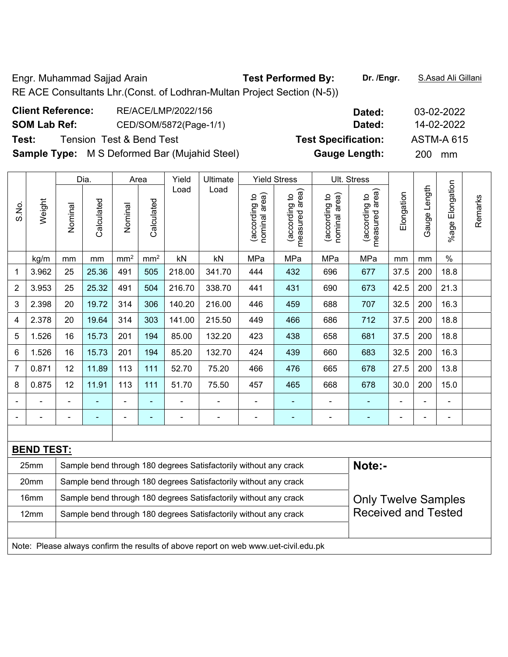Engr. Muhammad Sajjad Arain **Test Performed By: Dr. /Engr.** S.Asad Ali Gillani RE ACE Consultants Lhr.(Const. of Lodhran-Multan Project Section (N-5))

|       |                                                      | <b>Client Reference:</b> |                          |  |      | RE/ACE/LMP/2022/156    |          |                          |                     | Dated: | 03-02-2022                 |  |     |                   |  |
|-------|------------------------------------------------------|--------------------------|--------------------------|--|------|------------------------|----------|--------------------------|---------------------|--------|----------------------------|--|-----|-------------------|--|
|       | <b>SOM Lab Ref:</b>                                  |                          |                          |  |      | CED/SOM/5872(Page-1/1) |          |                          |                     |        | Dated:                     |  |     | 14-02-2022        |  |
| Test: |                                                      |                          | Tension Test & Bend Test |  |      |                        |          |                          |                     |        | <b>Test Specification:</b> |  |     | <b>ASTM-A 615</b> |  |
|       | <b>Sample Type:</b> M S Deformed Bar (Mujahid Steel) |                          |                          |  |      |                        |          |                          |                     |        | <b>Gauge Length:</b>       |  | 200 | mm                |  |
|       |                                                      | Dia.                     |                          |  | Area | Yield                  | Ultimate |                          | <b>Yield Stress</b> |        | Ult. Stress                |  |     |                   |  |
|       |                                                      |                          |                          |  |      | ∟oad                   | Load     | $\overline{\phantom{0}}$ | $\widehat{\pi}$     | $\sim$ | $\widehat{\pi}$            |  | 芸   | tion              |  |

|                |                   |         | Dia.       |                 | Area            | Yield  | Ultimate                                                         |                                | Yield Stress                    |                                | UII. Stress                              |            |                 |                       |         |
|----------------|-------------------|---------|------------|-----------------|-----------------|--------|------------------------------------------------------------------|--------------------------------|---------------------------------|--------------------------------|------------------------------------------|------------|-----------------|-----------------------|---------|
| S.No.          | Weight            | Nominal | Calculated | Nominal         | Calculated      | Load   | Load                                                             | nominal area)<br>(according to | measured area)<br>(according to | (according to<br>nominal area) | area)<br>(according to<br>measured area) | Elongation | Length<br>Gauge | Elongation<br>$%$ age | Remarks |
|                | kg/m              | mm      | mm         | mm <sup>2</sup> | mm <sup>2</sup> | kN     | kN                                                               | MPa                            | MPa                             | MPa                            | MPa                                      | mm         | mm              | $\%$                  |         |
| 1              | 3.962             | 25      | 25.36      | 491             | 505             | 218.00 | 341.70                                                           | 444                            | 432                             | 696                            | 677                                      | 37.5       | 200             | 18.8                  |         |
| $\overline{2}$ | 3.953             | 25      | 25.32      | 491             | 504             | 216.70 | 338.70                                                           | 441                            | 431                             | 690                            | 673                                      | 42.5       | 200             | 21.3                  |         |
| 3              | 2.398             | 20      | 19.72      | 314             | 306             | 140.20 | 216.00                                                           | 446                            | 459                             | 688                            | 707                                      | 32.5       | 200             | 16.3                  |         |
| 4              | 2.378             | 20      | 19.64      | 314             | 303             | 141.00 | 215.50                                                           | 449                            | 466                             | 686                            | 712                                      | 37.5       | 200             | 18.8                  |         |
| 5              | 1.526             | 16      | 15.73      | 201             | 194             | 85.00  | 132.20                                                           | 423                            | 438                             | 658                            | 681                                      | 37.5       | 200             | 18.8                  |         |
| 6              | 1.526             | 16      | 15.73      | 201             | 194             | 85.20  | 132.70                                                           | 424                            | 439                             | 660                            | 683                                      | 32.5       | 200             | 16.3                  |         |
| $\overline{7}$ | 0.871             | 12      | 11.89      | 113             | 111             | 52.70  | 75.20                                                            | 466                            | 476                             | 665                            | 678                                      | 27.5       | 200             | 13.8                  |         |
| 8              | 0.875             | 12      | 11.91      | 113             | 111             | 51.70  | 75.50                                                            | 457                            | 465                             | 668                            | 678                                      | 30.0       | 200             | 15.0                  |         |
|                |                   |         |            |                 |                 |        |                                                                  |                                |                                 |                                |                                          |            |                 |                       |         |
|                |                   |         |            |                 | ۰               |        |                                                                  | -                              |                                 |                                |                                          |            | $\blacksquare$  | $\blacksquare$        |         |
|                |                   |         |            |                 |                 |        |                                                                  |                                |                                 |                                |                                          |            |                 |                       |         |
|                | <b>BEND TEST:</b> |         |            |                 |                 |        |                                                                  |                                |                                 |                                |                                          |            |                 |                       |         |
|                | 25mm              |         |            |                 |                 |        | Sample bend through 180 degrees Satisfactorily without any crack |                                |                                 |                                | Note:-                                   |            |                 |                       |         |
|                | 20mm              |         |            |                 |                 |        | Sample bend through 180 degrees Satisfactorily without any crack |                                |                                 |                                |                                          |            |                 |                       |         |

| 16mm | Sample bend through 180 degrees Satisfactorily without any crack                    | <b>Only Twelve Samples</b> |
|------|-------------------------------------------------------------------------------------|----------------------------|
| 12mm | Sample bend through 180 degrees Satisfactorily without any crack                    | <b>Received and Tested</b> |
|      |                                                                                     |                            |
|      | Note: Please always confirm the results of above report on web www.uet-civil.edu.pk |                            |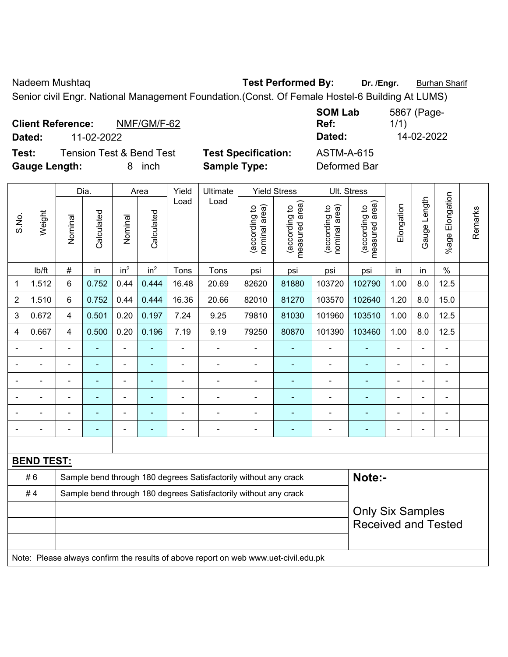Nadeem Mushtaq **Test Performed By:** Dr. /Engr. **Burhan Sharif** Burhan Sharif

Senior civil Engr. National Management Foundation.(Const. Of Female Hostel-6 Building At LUMS)

| <b>Client Reference:</b> |            | NMF/GM/F-62                         |                            | <b>SOM Lab</b><br>Ref: | 5867 (Page-<br>1/1) |
|--------------------------|------------|-------------------------------------|----------------------------|------------------------|---------------------|
| Dated:                   | 11-02-2022 |                                     |                            | Dated:                 | 14-02-2022          |
| Test:                    |            | <b>Tension Test &amp; Bend Test</b> | <b>Test Specification:</b> | ASTM-A-615             |                     |
| <b>Gauge Length:</b>     |            | <i>inch</i>                         | <b>Sample Type:</b>        | Deformed Bar           |                     |

|                |                   |                                                                  | Dia.       |                 | Area                     | Yield          | Ultimate                                                                            |                                | <b>Yield Stress</b>             |                                | Ult. Stress                     |                |                |                       |         |
|----------------|-------------------|------------------------------------------------------------------|------------|-----------------|--------------------------|----------------|-------------------------------------------------------------------------------------|--------------------------------|---------------------------------|--------------------------------|---------------------------------|----------------|----------------|-----------------------|---------|
| S.No.          | Weight            | Nominal                                                          | Calculated | Nominal         | Calculated               | Load           | Load                                                                                | nominal area)<br>(according to | (according to<br>measured area) | nominal area)<br>(according to | measured area)<br>(according to | Elongation     | Gauge Length   | Elongation<br>$%$ age | Remarks |
|                | Ib/ft             | $\#$                                                             | in         | in <sup>2</sup> | in <sup>2</sup>          | Tons           | Tons                                                                                | psi                            | psi                             | psi                            | psi                             | in             | in             | $\%$                  |         |
| 1              | 1.512             | 6                                                                | 0.752      | 0.44            | 0.444                    | 16.48          | 20.69                                                                               | 82620                          | 81880                           | 103720                         | 102790                          | 1.00           | 8.0            | 12.5                  |         |
| $\overline{2}$ | 1.510             | 6                                                                | 0.752      | 0.44            | 0.444                    | 16.36          | 20.66                                                                               | 82010                          | 81270                           | 103570                         | 102640                          | 1.20           | 8.0            | 15.0                  |         |
| 3              | 0.672             | 4                                                                | 0.501      | 0.20            | 0.197                    | 7.24           | 9.25                                                                                | 79810                          | 81030                           | 101960                         | 103510                          | 1.00           | 8.0            | 12.5                  |         |
| 4              | 0.667             | 4                                                                | 0.500      | 0.20            | 0.196                    | 7.19           | 9.19                                                                                | 79250                          | 80870                           | 101390                         | 103460                          | 1.00           | 8.0            | 12.5                  |         |
|                |                   | Ē,                                                               | ä,         | ä,              | ä,                       | ä,             | ä,                                                                                  | $\blacksquare$                 | ÷,                              | $\blacksquare$                 |                                 | ä,             | ÷,             | L,                    |         |
|                | ÷                 | $\blacksquare$                                                   | ä,         | $\blacksquare$  | ۰                        | $\blacksquare$ | $\blacksquare$                                                                      | $\blacksquare$                 | $\blacksquare$                  | $\blacksquare$                 | ۰                               | L.             | $\blacksquare$ | $\blacksquare$        |         |
|                |                   |                                                                  |            | $\blacksquare$  | $\blacksquare$           |                | $\blacksquare$                                                                      | $\blacksquare$                 |                                 | $\blacksquare$                 | ۰                               | Ē,             | $\blacksquare$ | L,                    |         |
|                |                   |                                                                  |            | $\blacksquare$  |                          |                |                                                                                     |                                |                                 |                                |                                 |                | $\blacksquare$ | L,                    |         |
|                |                   |                                                                  |            | $\blacksquare$  |                          |                |                                                                                     |                                |                                 |                                |                                 | $\blacksquare$ | $\blacksquare$ | $\blacksquare$        |         |
|                |                   | ٠                                                                | ۰          | ۰               | $\overline{\phantom{0}}$ |                | $\overline{a}$                                                                      | $\overline{\phantom{0}}$       | $\overline{\phantom{0}}$        | ۰                              |                                 | $\blacksquare$ | $\blacksquare$ | ÷                     |         |
|                |                   |                                                                  |            |                 |                          |                |                                                                                     |                                |                                 |                                |                                 |                |                |                       |         |
|                | <b>BEND TEST:</b> |                                                                  |            |                 |                          |                |                                                                                     |                                |                                 |                                |                                 |                |                |                       |         |
|                | #6                |                                                                  |            |                 |                          |                | Sample bend through 180 degrees Satisfactorily without any crack                    |                                |                                 |                                | Note:-                          |                |                |                       |         |
|                | #4                | Sample bend through 180 degrees Satisfactorily without any crack |            |                 |                          |                |                                                                                     |                                |                                 |                                |                                 |                |                |                       |         |
|                |                   |                                                                  |            |                 |                          |                |                                                                                     |                                |                                 |                                | <b>Only Six Samples</b>         |                |                |                       |         |
|                |                   |                                                                  |            |                 |                          |                |                                                                                     |                                |                                 |                                | <b>Received and Tested</b>      |                |                |                       |         |
|                |                   |                                                                  |            |                 |                          |                |                                                                                     |                                |                                 |                                |                                 |                |                |                       |         |
|                |                   |                                                                  |            |                 |                          |                | Note: Please always confirm the results of above report on web www.uet-civil.edu.pk |                                |                                 |                                |                                 |                |                |                       |         |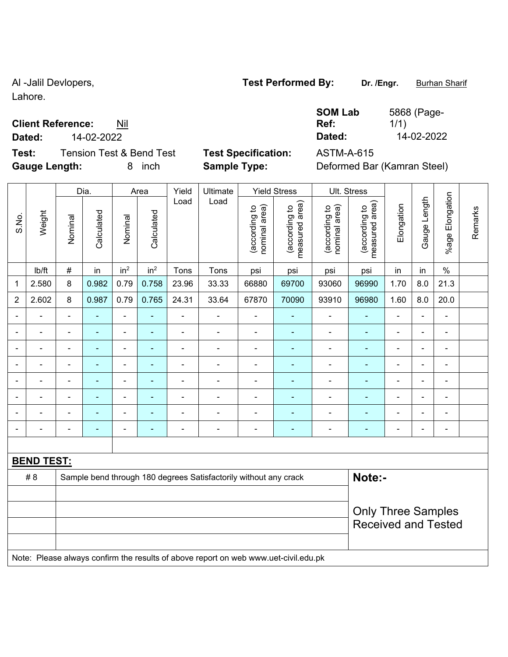Lahore.

## **Client Reference:** Nil

**Dated:** 14-02-2022 **Dated:** 14-02-2022

**Test:** Tension Test & Bend Test **Test Specification:** ASTM-A-615 **Gauge Length:** 8 inch **Sample Type:** Deformed Bar (Kamran Steel)

5868 (Page-1/1)

**SOM Lab Ref:** 

|                          |                   |                | Dia.           |                 | Area            | Yield          | Ultimate                                                                            |                                | <b>Yield Stress</b>             |                                | Ult. Stress                     |                          |                          |                 |         |
|--------------------------|-------------------|----------------|----------------|-----------------|-----------------|----------------|-------------------------------------------------------------------------------------|--------------------------------|---------------------------------|--------------------------------|---------------------------------|--------------------------|--------------------------|-----------------|---------|
| S.No.                    | Weight            | Nominal        | Calculated     | Nominal         | Calculated      | Load           | Load                                                                                | nominal area)<br>(according to | measured area)<br>(according to | nominal area)<br>(according to | measured area)<br>(according to | Elongation               | Gauge Length             | %age Elongation | Remarks |
|                          | Ib/ft             | $\#$           | in             | in <sup>2</sup> | in <sup>2</sup> | Tons           | Tons                                                                                | psi                            | psi                             | psi                            | psi                             | in                       | in                       | $\%$            |         |
| 1                        | 2.580             | 8              | 0.982          | 0.79            | 0.758           | 23.96          | 33.33                                                                               | 66880                          | 69700                           | 93060                          | 96990                           | 1.70                     | 8.0                      | 21.3            |         |
| $\overline{2}$           | 2.602             | 8              | 0.987          | 0.79            | 0.765           | 24.31          | 33.64                                                                               | 67870                          | 70090                           | 93910                          | 96980                           | 1.60                     | 8.0                      | 20.0            |         |
|                          |                   | $\blacksquare$ | ÷              | $\blacksquare$  | ÷,              | $\blacksquare$ | $\blacksquare$                                                                      |                                | $\blacksquare$                  | ÷                              |                                 | ۰                        | $\blacksquare$           | $\blacksquare$  |         |
|                          |                   |                | $\blacksquare$ | $\blacksquare$  | $\blacksquare$  | $\blacksquare$ | $\blacksquare$                                                                      | $\blacksquare$                 | $\blacksquare$                  | $\blacksquare$                 | $\blacksquare$                  |                          |                          | $\blacksquare$  |         |
|                          |                   |                |                | ۰               | $\overline{a}$  |                |                                                                                     |                                |                                 | ÷                              |                                 |                          |                          | $\blacksquare$  |         |
|                          |                   | $\blacksquare$ | ä,             | ۰               | ÷               | $\blacksquare$ | $\overline{a}$                                                                      | $\blacksquare$                 | ÷                               | ÷                              | $\blacksquare$                  | -                        | $\blacksquare$           |                 |         |
| $\overline{\phantom{0}}$ |                   | $\blacksquare$ | ۰              | ۰               | ٠               | $\blacksquare$ | ۰                                                                                   | $\overline{\phantom{0}}$       | $\overline{a}$                  | $\blacksquare$                 | $\blacksquare$                  | $\blacksquare$           | $\blacksquare$           | $\blacksquare$  |         |
|                          |                   | $\blacksquare$ | $\blacksquare$ | $\blacksquare$  | ۰               | $\blacksquare$ | $\blacksquare$                                                                      | $\blacksquare$                 | ٠                               | ä,                             | $\blacksquare$                  | ۳                        | $\blacksquare$           | $\blacksquare$  |         |
|                          |                   |                |                | ÷               |                 |                |                                                                                     |                                |                                 | ÷                              |                                 |                          |                          | $\blacksquare$  |         |
|                          |                   | $\blacksquare$ |                | ÷               | Ē.              |                | ۰                                                                                   | $\overline{\phantom{0}}$       |                                 |                                |                                 | $\overline{\phantom{0}}$ | $\overline{\phantom{0}}$ | $\blacksquare$  |         |
|                          |                   |                |                |                 |                 |                |                                                                                     |                                |                                 |                                |                                 |                          |                          |                 |         |
|                          | <b>BEND TEST:</b> |                |                |                 |                 |                |                                                                                     |                                |                                 |                                |                                 |                          |                          |                 |         |
|                          | #8                |                |                |                 |                 |                | Sample bend through 180 degrees Satisfactorily without any crack                    |                                |                                 |                                | Note:-                          |                          |                          |                 |         |
|                          |                   |                |                |                 |                 |                |                                                                                     |                                |                                 |                                |                                 |                          |                          |                 |         |
|                          |                   |                |                |                 |                 |                |                                                                                     |                                |                                 |                                | <b>Only Three Samples</b>       |                          |                          |                 |         |
|                          |                   |                |                |                 |                 |                |                                                                                     |                                |                                 |                                | <b>Received and Tested</b>      |                          |                          |                 |         |
|                          |                   |                |                |                 |                 |                |                                                                                     |                                |                                 |                                |                                 |                          |                          |                 |         |
|                          |                   |                |                |                 |                 |                | Note: Please always confirm the results of above report on web www.uet-civil.edu.pk |                                |                                 |                                |                                 |                          |                          |                 |         |

## Al -Jalil Devlopers, **Test Performed By:** Dr. /Engr. **Burhan Sharif** Burhan Sharif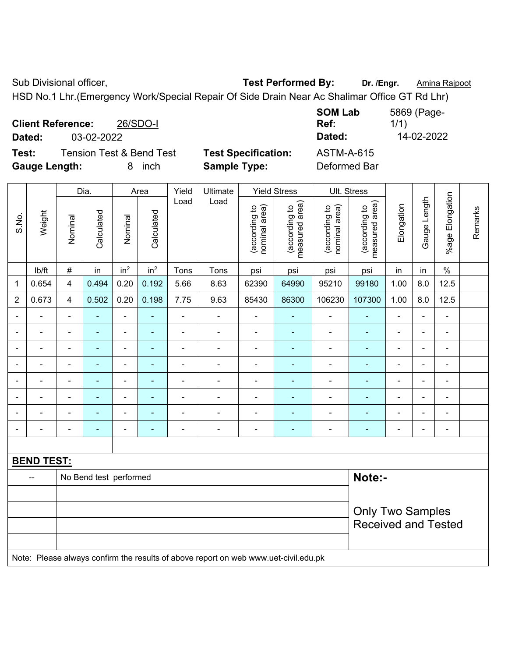Sub Divisional officer, **Test Performed By:** Dr. /Engr. **Amina Rajpoot Canadia** Reserve the Music of Test Performed By:

HSD No.1 Lhr.(Emergency Work/Special Repair Of Side Drain Near Ac Shalimar Office GT Rd Lhr)

|                      | <b>Client Reference:</b> | 26/SDO-I                            |                            | <b>SOM Lab</b><br>Ref: | 5869 (Page-<br>1/1) |
|----------------------|--------------------------|-------------------------------------|----------------------------|------------------------|---------------------|
| Dated:               | 03-02-2022               |                                     |                            | Dated:                 | 14-02-2022          |
| Test:                |                          | <b>Tension Test &amp; Bend Test</b> | <b>Test Specification:</b> | <b>ASTM-A-615</b>      |                     |
| <b>Gauge Length:</b> |                          | inch<br>8.                          | <b>Sample Type:</b>        | Deformed Bar           |                     |

|                |                          |                | Dia.                     |                 | Area            | Yield          | Ultimate                                                                            |                                | <b>Yield Stress</b>             |                                | Ult. Stress                     |                              |                          |                          |         |
|----------------|--------------------------|----------------|--------------------------|-----------------|-----------------|----------------|-------------------------------------------------------------------------------------|--------------------------------|---------------------------------|--------------------------------|---------------------------------|------------------------------|--------------------------|--------------------------|---------|
| S.No.          | Weight                   | Nominal        | Calculated               | Nominal         | Calculated      | Load           | Load                                                                                | nominal area)<br>(according to | (according to<br>measured area) | nominal area)<br>(according to | measured area)<br>(according to | Elongation                   | Gauge Length             | %age Elongation          | Remarks |
|                | lb/ft                    | $\#$           | in                       | in <sup>2</sup> | in <sup>2</sup> | Tons           | Tons                                                                                | psi                            | psi                             | psi                            | psi                             | in                           | in                       | $\%$                     |         |
| 1              | 0.654                    | 4              | 0.494                    | 0.20            | 0.192           | 5.66           | 8.63                                                                                | 62390                          | 64990                           | 95210                          | 99180                           | 1.00                         | 8.0                      | 12.5                     |         |
| $\overline{2}$ | 0.673                    | 4              | 0.502                    | 0.20            | 0.198           | 7.75           | 9.63                                                                                | 85430                          | 86300                           | 106230                         | 107300                          | 1.00                         | 8.0                      | 12.5                     |         |
| $\blacksquare$ | $\overline{\phantom{a}}$ | $\blacksquare$ | $\blacksquare$           | $\blacksquare$  | $\blacksquare$  | $\blacksquare$ | $\blacksquare$                                                                      | $\blacksquare$                 | $\blacksquare$                  | $\blacksquare$                 | $\blacksquare$                  | ÷,                           | $\overline{a}$           | $\blacksquare$           |         |
|                | $\frac{1}{2}$            | $\blacksquare$ | $\blacksquare$           | $\blacksquare$  | $\blacksquare$  | $\blacksquare$ | $\blacksquare$                                                                      | ÷,                             | $\blacksquare$                  | $\blacksquare$                 | $\blacksquare$                  | $\qquad \qquad \blacksquare$ | $\blacksquare$           | $\overline{\phantom{a}}$ |         |
|                | $\blacksquare$           | $\blacksquare$ | $\blacksquare$           | $\blacksquare$  | $\blacksquare$  | ä,             | $\overline{\phantom{a}}$                                                            | $\overline{\phantom{a}}$       | $\blacksquare$                  | $\blacksquare$                 | $\blacksquare$                  | $\blacksquare$               | $\blacksquare$           | $\blacksquare$           |         |
|                | ÷                        |                | $\blacksquare$           | ÷               | $\blacksquare$  | $\blacksquare$ | $\blacksquare$                                                                      | $\overline{a}$                 | ÷                               | ÷                              | ۰                               | ۰                            | $\blacksquare$           | $\blacksquare$           |         |
|                |                          |                | $\blacksquare$           | $\blacksquare$  |                 |                | $\blacksquare$                                                                      | $\blacksquare$                 | $\blacksquare$                  | $\blacksquare$                 | ۰                               |                              | ٠                        | $\blacksquare$           |         |
|                | L.                       |                | $\blacksquare$           | $\blacksquare$  | ٠               | $\blacksquare$ | $\blacksquare$                                                                      | Ē,                             | ä,                              | Ē,                             |                                 | $\blacksquare$               | $\blacksquare$           | ä,                       |         |
|                | $\blacksquare$           |                | $\overline{\phantom{a}}$ | $\overline{a}$  |                 | $\blacksquare$ | $\overline{\phantom{a}}$                                                            | Ē,                             | $\overline{a}$                  | ÷                              | $\blacksquare$                  | ۰                            | $\overline{\phantom{0}}$ | $\blacksquare$           |         |
| $\blacksquare$ | Ē,                       | ä,             | $\blacksquare$           | ÷               | $\blacksquare$  | L,             | $\blacksquare$                                                                      | $\overline{\phantom{a}}$       | $\blacksquare$                  | $\blacksquare$                 | $\blacksquare$                  | $\qquad \qquad \blacksquare$ | ÷,                       | $\blacksquare$           |         |
|                |                          |                |                          |                 |                 |                |                                                                                     |                                |                                 |                                |                                 |                              |                          |                          |         |
|                | <b>BEND TEST:</b>        |                |                          |                 |                 |                |                                                                                     |                                |                                 |                                |                                 |                              |                          |                          |         |
|                | --                       |                | No Bend test performed   |                 |                 |                |                                                                                     |                                |                                 |                                | Note:-                          |                              |                          |                          |         |
|                |                          |                |                          |                 |                 |                |                                                                                     |                                |                                 |                                |                                 |                              |                          |                          |         |
|                |                          |                |                          |                 |                 |                |                                                                                     |                                |                                 |                                | <b>Only Two Samples</b>         |                              |                          |                          |         |
|                |                          |                |                          |                 |                 |                |                                                                                     |                                |                                 |                                | <b>Received and Tested</b>      |                              |                          |                          |         |
|                |                          |                |                          |                 |                 |                |                                                                                     |                                |                                 |                                |                                 |                              |                          |                          |         |
|                |                          |                |                          |                 |                 |                | Note: Please always confirm the results of above report on web www.uet-civil.edu.pk |                                |                                 |                                |                                 |                              |                          |                          |         |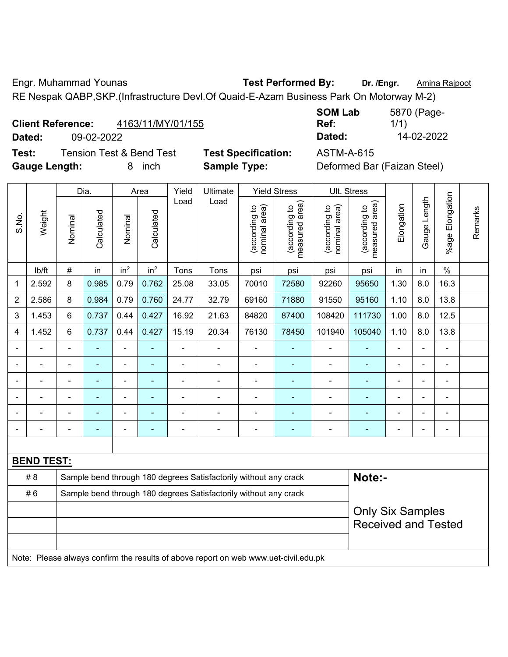Engr. Muhammad Younas **Test Performed By: Dr. /Engr.** Amina Rajpoot

RE Nespak QABP,SKP.(Infrastructure Devl.Of Quaid-E-Azam Business Park On Motorway M-2)

| <b>Client Reference:</b> | 4163/11/MY/01/155 |
|--------------------------|-------------------|
|                          |                   |

**Test:** Tension Test & Bend Test **Test Specification:** ASTM-A-615 **Gauge Length:** 8 inch **Sample Type:** Deformed Bar (Faizan Steel)

**SOM Lab Ref:**  5870 (Page-1/1) **Dated:** 09-02-2022 **Dated:** 14-02-2022

|                          |                   | Yield<br>Ultimate<br><b>Yield Stress</b><br>Dia.<br>Area<br>Load<br>Load |                |                 |                 |                |                                                                                     |                                |                                 |                                | Ult. Stress                     |                              |                |                       |         |
|--------------------------|-------------------|--------------------------------------------------------------------------|----------------|-----------------|-----------------|----------------|-------------------------------------------------------------------------------------|--------------------------------|---------------------------------|--------------------------------|---------------------------------|------------------------------|----------------|-----------------------|---------|
| S.No.                    | Weight            | Nominal                                                                  | Calculated     | Nominal         | Calculated      |                |                                                                                     | nominal area)<br>(according to | (according to<br>measured area) | nominal area)<br>(according to | (according to<br>measured area) | Elongation                   | Gauge Length   | Elongation<br>$%$ age | Remarks |
|                          | lb/ft             | $\#$                                                                     | in             | in <sup>2</sup> | in <sup>2</sup> | Tons           | Tons                                                                                | psi                            | psi                             | psi                            | psi                             | in                           | in             | $\frac{0}{0}$         |         |
| 1                        | 2.592             | 8                                                                        | 0.985          | 0.79            | 0.762           | 25.08          | 33.05                                                                               | 70010                          | 72580                           | 92260                          | 95650                           | 1.30                         | 8.0            | 16.3                  |         |
| $\overline{2}$           | 2.586             | 8                                                                        | 0.984          | 0.79            | 0.760           | 24.77          | 32.79                                                                               | 69160                          | 71880                           | 91550                          | 95160                           | 1.10                         | 8.0            | 13.8                  |         |
| 3                        | 1.453             | 6                                                                        | 0.737          | 0.44            | 0.427           | 16.92          | 21.63                                                                               | 84820                          | 87400                           | 108420                         | 111730                          | 1.00                         | 8.0            | 12.5                  |         |
| 4                        | 1.452             | 6                                                                        | 0.737          | 0.44            | 0.427           | 15.19          | 20.34                                                                               | 76130                          | 78450                           | 101940                         | 105040                          | 1.10                         | 8.0            | 13.8                  |         |
| $\blacksquare$           | $\blacksquare$    | $\blacksquare$                                                           | ÷,             | ÷,              | ۰               | ä,             | ÷                                                                                   | $\blacksquare$                 | $\blacksquare$                  | $\blacksquare$                 | $\blacksquare$                  | $\blacksquare$               | ÷,             | ä,                    |         |
|                          |                   |                                                                          | $\blacksquare$ | $\blacksquare$  | ٠               | $\blacksquare$ | ÷                                                                                   | $\blacksquare$                 | ÷                               | $\blacksquare$                 | ÷,                              |                              | $\blacksquare$ | $\overline{a}$        |         |
|                          |                   | $\blacksquare$                                                           |                | ۰               |                 |                | $\blacksquare$                                                                      | $\blacksquare$                 | $\blacksquare$                  | $\blacksquare$                 | $\blacksquare$                  |                              |                | $\overline{a}$        |         |
| $\blacksquare$           |                   | $\blacksquare$                                                           |                | ÷               |                 | $\blacksquare$ | ä,                                                                                  | $\blacksquare$                 | $\blacksquare$                  | $\blacksquare$                 |                                 |                              | $\blacksquare$ | $\blacksquare$        |         |
| $\overline{\phantom{a}}$ |                   | $\blacksquare$                                                           |                | ÷,              | ۰               | Ē,             | ÷                                                                                   | $\blacksquare$                 | ÷                               | $\blacksquare$                 | $\blacksquare$                  | $\blacksquare$               | $\blacksquare$ | $\blacksquare$        |         |
| $\blacksquare$           | $\blacksquare$    | $\blacksquare$                                                           | $\blacksquare$ | $\overline{a}$  | ۰               | $\overline{a}$ | ÷                                                                                   | $\blacksquare$                 | $\overline{\phantom{0}}$        | $\qquad \qquad \blacksquare$   | $\blacksquare$                  | $\qquad \qquad \blacksquare$ | $\blacksquare$ | $\overline{a}$        |         |
|                          |                   |                                                                          |                |                 |                 |                |                                                                                     |                                |                                 |                                |                                 |                              |                |                       |         |
|                          | <b>BEND TEST:</b> |                                                                          |                |                 |                 |                |                                                                                     |                                |                                 |                                |                                 |                              |                |                       |         |
|                          | # 8               | Sample bend through 180 degrees Satisfactorily without any crack         |                |                 |                 |                |                                                                                     |                                |                                 |                                | Note:-                          |                              |                |                       |         |
|                          | #6                |                                                                          |                |                 |                 |                | Sample bend through 180 degrees Satisfactorily without any crack                    |                                |                                 |                                |                                 |                              |                |                       |         |
|                          |                   |                                                                          |                |                 |                 |                |                                                                                     |                                |                                 |                                | <b>Only Six Samples</b>         |                              |                |                       |         |
|                          |                   |                                                                          |                |                 |                 |                |                                                                                     |                                |                                 |                                | <b>Received and Tested</b>      |                              |                |                       |         |
|                          |                   |                                                                          |                |                 |                 |                |                                                                                     |                                |                                 |                                |                                 |                              |                |                       |         |
|                          |                   |                                                                          |                |                 |                 |                | Note: Please always confirm the results of above report on web www.uet-civil.edu.pk |                                |                                 |                                |                                 |                              |                |                       |         |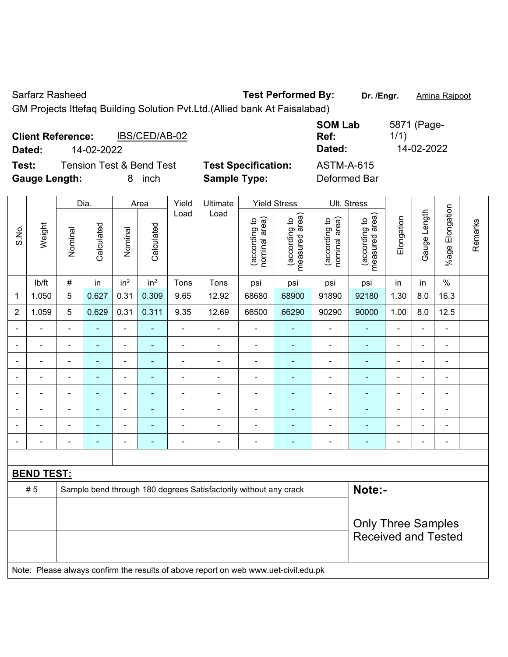Sarfarz Rasheed **Test Performed By:** Dr. /Engr. **Amina Rajpoot Carrier Contrary Contrary Amina Rajpoot** GM Projects Ittefaq Building Solution Pvt.Ltd.(Allied bank At Faisalabad)

| <b>Client Reference:</b><br>Dated: | 14-02-2022                          | IBS/CED/AB-02 |                            | <b>SOM Lab</b><br>Ref:<br>Dated: | 5871 (Page-<br>1/1)<br>14-02-2022 |
|------------------------------------|-------------------------------------|---------------|----------------------------|----------------------------------|-----------------------------------|
| Test:                              | <b>Tension Test &amp; Bend Test</b> |               | <b>Test Specification:</b> | ASTM-A-615                       |                                   |
| <b>Gauge Length:</b>               |                                     | inch          | <b>Sample Type:</b>        | Deformed Bar                     |                                   |

|                |                   |                | Dia.       |                 | Area            | Yield          | Ultimate                                                                            |                                | <b>Yield Stress</b>             | Ult. Stress                    |                                 |                          |                |                          |         |
|----------------|-------------------|----------------|------------|-----------------|-----------------|----------------|-------------------------------------------------------------------------------------|--------------------------------|---------------------------------|--------------------------------|---------------------------------|--------------------------|----------------|--------------------------|---------|
| S.No.          | Weight            | Nominal        | Calculated | Nominal         | Calculated      | Load           | Load                                                                                | nominal area)<br>(according to | (according to<br>measured area) | nominal area)<br>(according to | (according to<br>measured area) | Elongation               | Gauge Length   | Elongation<br>$%$ age    | Remarks |
|                | lb/ft             | $\#$           | in         | in <sup>2</sup> | in <sup>2</sup> | Tons           | Tons                                                                                | psi                            | psi                             | psi                            | psi                             | in                       | in             | $\%$                     |         |
| 1              | 1.050             | 5              | 0.627      | 0.31            | 0.309           | 9.65           | 12.92                                                                               | 68680                          | 68900                           | 91890                          | 92180                           | 1.30                     | 8.0            | 16.3                     |         |
| 2              | 1.059             | 5              | 0.629      | 0.31            | 0.311           | 9.35           | 12.69                                                                               | 66500                          | 66290                           | 90290                          | 90000                           | 1.00                     | 8.0            | 12.5                     |         |
| $\blacksquare$ | $\blacksquare$    | $\blacksquare$ | ÷,         | $\blacksquare$  | ä,              | $\blacksquare$ | $\blacksquare$                                                                      | $\blacksquare$                 | ÷                               | ÷,                             | $\blacksquare$                  | $\blacksquare$           | $\blacksquare$ | $\blacksquare$           |         |
|                | $\blacksquare$    | $\blacksquare$ | ÷,         | $\frac{1}{2}$   | ٠               | $\blacksquare$ | $\frac{1}{2}$                                                                       | $\blacksquare$                 | ٠                               | $\overline{\phantom{0}}$       | $\blacksquare$                  | ÷                        | ÷,             | $\blacksquare$           |         |
|                | $\blacksquare$    | $\blacksquare$ | ÷,         | $\frac{1}{2}$   | ÷               | $\blacksquare$ | $\frac{1}{2}$                                                                       | ÷,                             | $\blacksquare$                  | $\qquad \qquad \blacksquare$   | $\blacksquare$                  | ÷                        | ÷,             | $\blacksquare$           |         |
|                |                   | $\blacksquare$ | L,         | ä,              | L,              | ä,             | $\blacksquare$                                                                      | $\blacksquare$                 | ä,                              | ÷                              | ä,                              |                          | ä,             | ä,                       |         |
|                |                   | $\blacksquare$ |            | ä,              |                 |                | $\blacksquare$                                                                      | $\blacksquare$                 |                                 | ÷                              | ä,                              |                          | $\blacksquare$ | L,                       |         |
| $\blacksquare$ |                   | $\blacksquare$ | ۰          | ÷               | ÷               | $\blacksquare$ | $\blacksquare$                                                                      | $\overline{\phantom{0}}$       | $\overline{\phantom{0}}$        | $\overline{\phantom{0}}$       | -                               | $\overline{\phantom{0}}$ | $\blacksquare$ | $\blacksquare$           |         |
|                |                   |                | ÷,         | ÷               | ۰               | $\blacksquare$ | $\blacksquare$                                                                      | $\blacksquare$                 | $\overline{\phantom{0}}$        | $\blacksquare$                 | -                               | $\blacksquare$           | $\blacksquare$ | $\overline{\phantom{a}}$ |         |
|                |                   | $\blacksquare$ | ÷,         | ۰               | ÷               | $\blacksquare$ | $\blacksquare$                                                                      | $\blacksquare$                 | $\blacksquare$                  | $\qquad \qquad \blacksquare$   | $\blacksquare$                  | $\blacksquare$           | $\blacksquare$ | $\blacksquare$           |         |
|                |                   |                |            |                 |                 |                |                                                                                     |                                |                                 |                                |                                 |                          |                |                          |         |
|                | <b>BEND TEST:</b> |                |            |                 |                 |                |                                                                                     |                                |                                 |                                |                                 |                          |                |                          |         |
|                | #5                |                |            |                 |                 |                | Sample bend through 180 degrees Satisfactorily without any crack                    |                                |                                 |                                | Note:-                          |                          |                |                          |         |
|                |                   |                |            |                 |                 |                |                                                                                     |                                |                                 |                                |                                 |                          |                |                          |         |
|                |                   |                |            |                 |                 |                |                                                                                     |                                |                                 |                                | <b>Only Three Samples</b>       |                          |                |                          |         |
|                |                   |                |            |                 |                 |                |                                                                                     |                                |                                 |                                | <b>Received and Tested</b>      |                          |                |                          |         |
|                |                   |                |            |                 |                 |                |                                                                                     |                                |                                 |                                |                                 |                          |                |                          |         |
|                |                   |                |            |                 |                 |                | Note: Please always confirm the results of above report on web www.uet-civil.edu.pk |                                |                                 |                                |                                 |                          |                |                          |         |